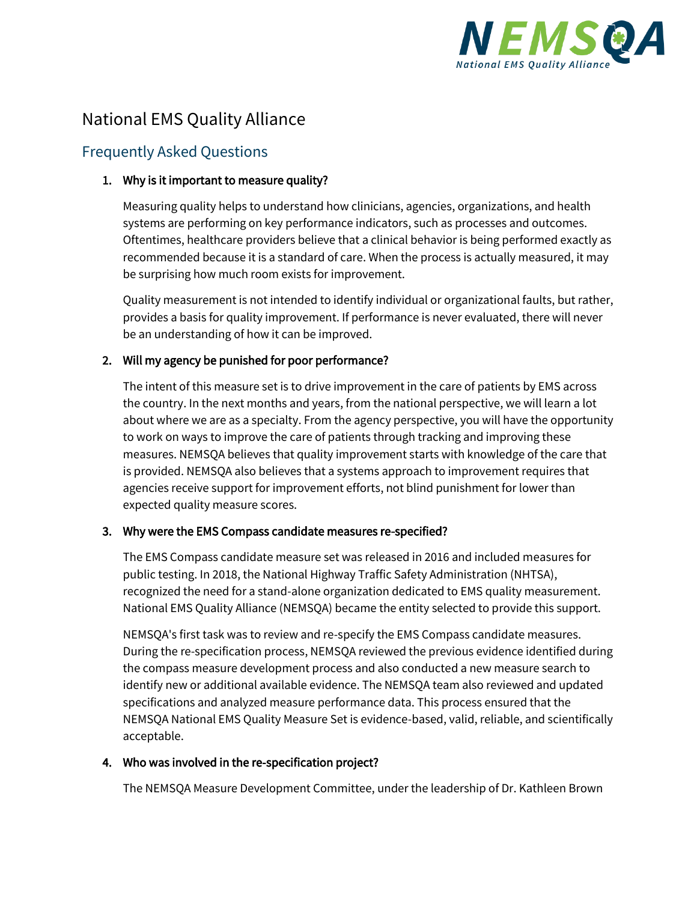

# National EMS Quality Alliance

# Frequently Asked Questions

## 1. Why is it important to measure quality?

Measuring quality helps to understand how clinicians, agencies, organizations, and health systems are performing on key performance indicators, such as processes and outcomes. Oftentimes, healthcare providers believe that a clinical behavior is being performed exactly as recommended because it is a standard of care. When the process is actually measured, it may be surprising how much room exists for improvement.

Quality measurement is not intended to identify individual or organizational faults, but rather, provides a basis for quality improvement. If performance is never evaluated, there will never be an understanding of how it can be improved.

# 2. Will my agency be punished for poor performance?

The intent of this measure set is to drive improvement in the care of patients by EMS across the country. In the next months and years, from the national perspective, we will learn a lot about where we are as a specialty. From the agency perspective, you will have the opportunity to work on ways to improve the care of patients through tracking and improving these measures. NEMSQA believes that quality improvement starts with knowledge of the care that is provided. NEMSQA also believes that a systems approach to improvement requires that agencies receive support for improvement efforts, not blind punishment for lower than expected quality measure scores.

#### 3. Why were the EMS Compass candidate measures re-specified?

The EMS Compass candidate measure set was released in 2016 and included measures for public testing. In 2018, the National Highway Traffic Safety Administration (NHTSA), recognized the need for a stand-alone organization dedicated to EMS quality measurement. National EMS Quality Alliance (NEMSQA) became the entity selected to provide this support.

NEMSQA's first task was to review and re-specify the EMS Compass candidate measures. During the re-specification process, NEMSQA reviewed the previous evidence identified during the compass measure development process and also conducted a new measure search to identify new or additional available evidence. The NEMSQA team also reviewed and updated specifications and analyzed measure performance data. This process ensured that the NEMSQA National EMS Quality Measure Set is evidence-based, valid, reliable, and scientifically acceptable.

# 4. Who was involved in the re-specification project?

The NEMSQA Measure Development Committee, under the leadership of Dr. Kathleen Brown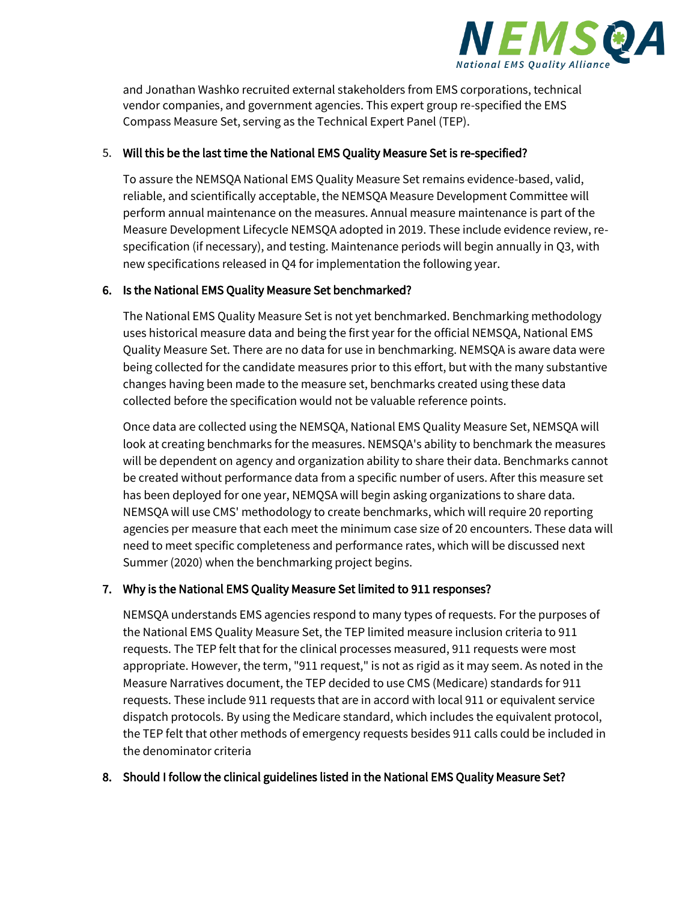

and Jonathan Washko recruited external stakeholders from EMS corporations, technical vendor companies, and government agencies. This expert group re-specified the EMS Compass Measure Set, serving as the Technical Expert Panel (TEP).

#### 5. Will this be the last time the National EMS Quality Measure Set is re-specified?

To assure the NEMSQA National EMS Quality Measure Set remains evidence-based, valid, reliable, and scientifically acceptable, the NEMSQA Measure Development Committee will perform annual maintenance on the measures. Annual measure maintenance is part of the Measure Development Lifecycle NEMSQA adopted in 2019. These include evidence review, respecification (if necessary), and testing. Maintenance periods will begin annually in Q3, with new specifications released in Q4 for implementation the following year.

#### 6. Is the National EMS Quality Measure Set benchmarked?

The National EMS Quality Measure Set is not yet benchmarked. Benchmarking methodology uses historical measure data and being the first year for the official NEMSQA, National EMS Quality Measure Set. There are no data for use in benchmarking. NEMSQA is aware data were being collected for the candidate measures prior to this effort, but with the many substantive changes having been made to the measure set, benchmarks created using these data collected before the specification would not be valuable reference points.

Once data are collected using the NEMSQA, National EMS Quality Measure Set, NEMSQA will look at creating benchmarks for the measures. NEMSQA's ability to benchmark the measures will be dependent on agency and organization ability to share their data. Benchmarks cannot be created without performance data from a specific number of users. After this measure set has been deployed for one year, NEMQSA will begin asking organizations to share data. NEMSQA will use CMS' methodology to create benchmarks, which will require 20 reporting agencies per measure that each meet the minimum case size of 20 encounters. These data will need to meet specific completeness and performance rates, which will be discussed next Summer (2020) when the benchmarking project begins.

# 7. Why is the National EMS Quality Measure Set limited to 911 responses?

NEMSQA understands EMS agencies respond to many types of requests. For the purposes of the National EMS Quality Measure Set, the TEP limited measure inclusion criteria to 911 requests. The TEP felt that for the clinical processes measured, 911 requests were most appropriate. However, the term, "911 request," is not as rigid as it may seem. As noted in the Measure Narratives document, the TEP decided to use CMS (Medicare) standards for 911 requests. These include 911 requests that are in accord with local 911 or equivalent service dispatch protocols. By using the Medicare standard, which includes the equivalent protocol, the TEP felt that other methods of emergency requests besides 911 calls could be included in the denominator criteria

#### 8. Should I follow the clinical guidelines listed in the National EMS Quality Measure Set?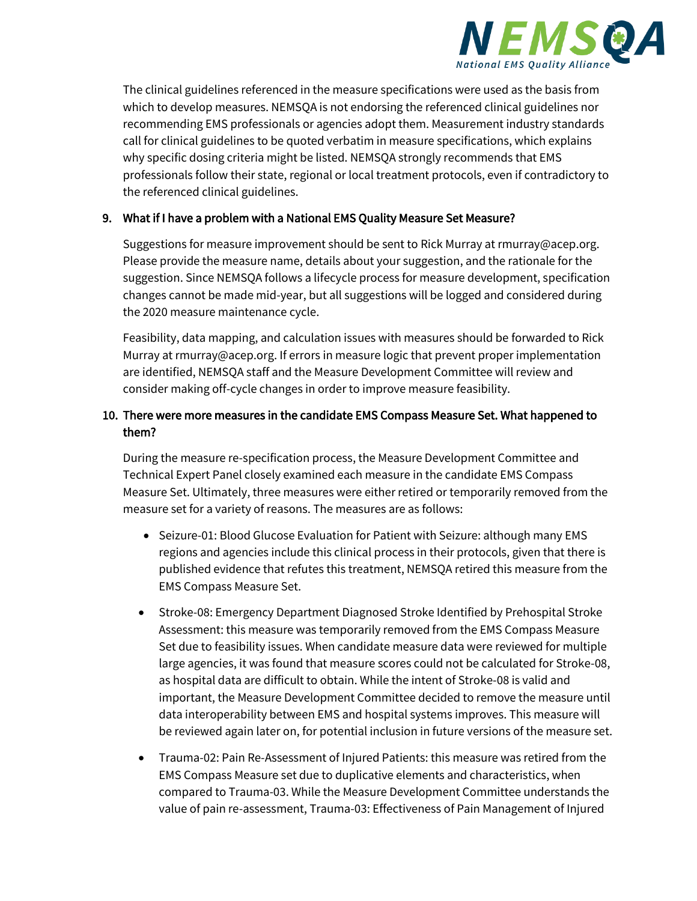

The clinical guidelines referenced in the measure specifications were used as the basis from which to develop measures. NEMSQA is not endorsing the referenced clinical guidelines nor recommending EMS professionals or agencies adopt them. Measurement industry standards call for clinical guidelines to be quoted verbatim in measure specifications, which explains why specific dosing criteria might be listed. NEMSQA strongly recommends that EMS professionals follow their state, regional or local treatment protocols, even if contradictory to the referenced clinical guidelines.

## 9. What if I have a problem with a National EMS Quality Measure Set Measure?

Suggestions for measure improvement should be sent to Rick Murray at rmurray@acep.org. Please provide the measure name, details about your suggestion, and the rationale for the suggestion. Since NEMSQA follows a lifecycle process for measure development, specification changes cannot be made mid-year, but all suggestions will be logged and considered during the 2020 measure maintenance cycle.

Feasibility, data mapping, and calculation issues with measures should be forwarded to Rick Murray at rmurray@acep.org. If errors in measure logic that prevent proper implementation are identified, NEMSQA staff and the Measure Development Committee will review and consider making off-cycle changes in order to improve measure feasibility.

# 10. There were more measures in the candidate EMS Compass Measure Set. What happened to them?

During the measure re-specification process, the Measure Development Committee and Technical Expert Panel closely examined each measure in the candidate EMS Compass Measure Set. Ultimately, three measures were either retired or temporarily removed from the measure set for a variety of reasons. The measures are as follows:

- Seizure-01: Blood Glucose Evaluation for Patient with Seizure: although many EMS regions and agencies include this clinical process in their protocols, given that there is published evidence that refutes this treatment, NEMSQA retired this measure from the EMS Compass Measure Set.
- Stroke-08: Emergency Department Diagnosed Stroke Identified by Prehospital Stroke Assessment: this measure was temporarily removed from the EMS Compass Measure Set due to feasibility issues. When candidate measure data were reviewed for multiple large agencies, it was found that measure scores could not be calculated for Stroke-08, as hospital data are difficult to obtain. While the intent of Stroke-08 is valid and important, the Measure Development Committee decided to remove the measure until data interoperability between EMS and hospital systems improves. This measure will be reviewed again later on, for potential inclusion in future versions of the measure set.
- Trauma-02: Pain Re-Assessment of Injured Patients: this measure was retired from the EMS Compass Measure set due to duplicative elements and characteristics, when compared to Trauma-03. While the Measure Development Committee understands the value of pain re-assessment, Trauma-03: Effectiveness of Pain Management of Injured